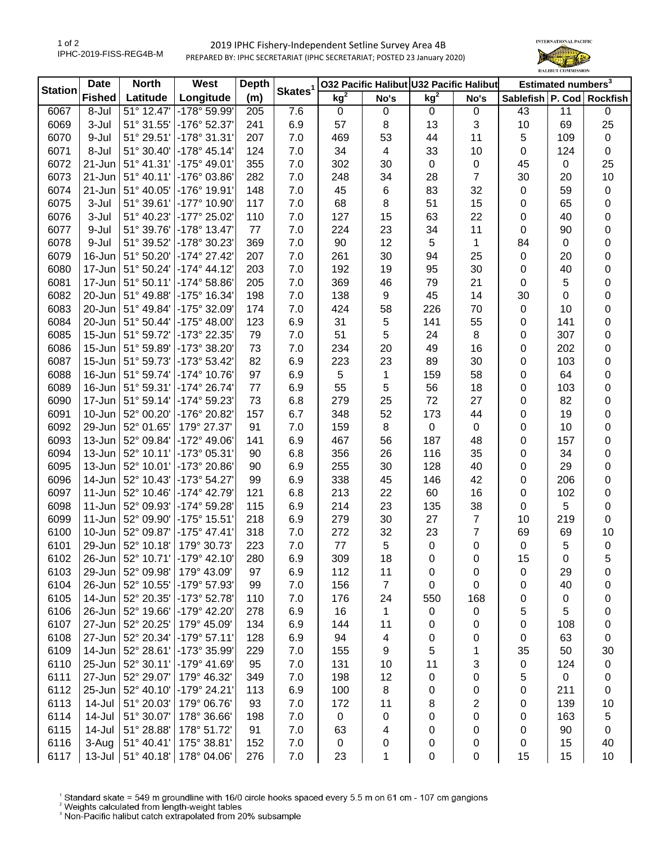## 2019 IPHC Fishery-Independent Setline Survey Area 4B PREPARED BY: IPHC SECRETARIAT (IPHC SECRETARIAT; POSTED 23 January 2020)



| kg <sup>2</sup><br>Longitude<br>kg <sup>2</sup><br><b>Fished</b><br>Latitude<br>(m)<br>Sablefish P. Cod Rockfish<br>No's<br>No's<br>51° 12.47'<br>-178° 59.99'<br>7.6<br>6067<br>8-Jul<br>205<br>$\mathbf 0$<br>$\pmb{0}$<br>$\mathbf 0$<br>0<br>43<br>11<br>0<br>3<br>25<br>3-Jul<br>-176° 52.37'<br>241<br>6.9<br>57<br>8<br>13<br>10<br>6069<br>51° 31.55'<br>69<br>6070<br>9-Jul<br>51° 29.51' -178° 31.31'<br>207<br>7.0<br>53<br>44<br>11<br>5<br>109<br>$\pmb{0}$<br>469<br>6071<br>8-Jul<br>51° 30.40' -178° 45.14'<br>124<br>7.0<br>34<br>$\overline{\mathcal{A}}$<br>33<br>10<br>124<br>$\pmb{0}$<br>$\mathbf 0$<br>6072<br>21-Jun<br>51° 41.31' -175° 49.01'<br>355<br>45<br>25<br>7.0<br>302<br>30<br>$\mathbf 0$<br>$\mathbf 0$<br>$\mathbf 0$<br>7<br>6073<br>51° 40.11' -176° 03.86'<br>282<br>34<br>28<br>10<br>21-Jun<br>7.0<br>248<br>30<br>20<br>6074<br>51° 40.05'<br>-176° 19.91'<br>148<br>7.0<br>45<br>83<br>32<br>59<br>$\pmb{0}$<br>21-Jun<br>6<br>$\mathbf 0$<br>6075<br>3-Jul<br>51° 39.61' -177° 10.90'<br>117<br>7.0<br>68<br>8<br>51<br>15<br>65<br>0<br>0<br>6076<br>51° 40.23'<br>-177° 25.02'<br>110<br>127<br>15<br>63<br>22<br>0<br>3-Jul<br>7.0<br>$\pmb{0}$<br>40<br>11<br>$-178°$ 13.47'<br>77<br>224<br>23<br>34<br>90<br>0<br>6077<br>9-Jul<br>51° 39.76'<br>7.0<br>$\mathbf 0$<br>369<br>90<br>12<br>$\overline{5}$<br>0<br>51° 39.52'<br>-178° 30.23'<br>7.0<br>1<br>84<br>6078<br>9-Jul<br>$\mathbf 0$<br>$30\,$<br>94<br>25<br>0<br>6079<br>51° 50.20'<br>$-174^{\circ}$ 27.42'<br>207<br>7.0<br>261<br>$\pmb{0}$<br>20<br>16-Jun<br>203<br>0<br>6080<br>51° 50.24'<br>$-174^{\circ}$ 44.12'<br>7.0<br>192<br>19<br>95<br>30<br>$\pmb{0}$<br>40<br>17-Jun<br>205<br>5<br>0<br>6081<br>51° 50.11'<br>$-174^{\circ} 58.86'$<br>7.0<br>369<br>46<br>79<br>21<br>17-Jun<br>$\mathbf 0$<br>198<br>6082<br>20-Jun<br>51° 49.88'<br>-175° 16.34'<br>7.0<br>138<br>9<br>45<br>14<br>30<br>0<br>0<br>6083<br>51° 49.84'<br>-175° 32.09'<br>174<br>7.0<br>424<br>58<br>226<br>70<br>0<br>20-Jun<br>$\mathbf 0$<br>10<br>55<br>6084<br>$-175^{\circ}$ 48.00<br>123<br>6.9<br>31<br>$\,$ 5 $\,$<br>141<br>141<br>0<br>20-Jun<br>51° 50.44'<br>0<br>$\sqrt{5}$<br>51<br>6085<br>79<br>24<br>8<br>307<br>0<br>$15 - Jun$<br>51° 59.72'<br>-173° 22.35'<br>7.0<br>0<br>6086<br>51° 59.89'<br>-173° 38.20'<br>73<br>234<br>20<br>49<br>16<br>202<br>0<br>$15 - Jun$<br>7.0<br>0<br>6087<br>51° 59.73'<br>-173° 53.42'<br>82<br>6.9<br>223<br>23<br>89<br>30<br>0<br>$15 - Jun$<br>0<br>103<br>6088<br>51° 59.74' -174° 10.76'<br>97<br>6.9<br>$\sqrt{5}$<br>159<br>58<br>64<br>0<br>16-Jun<br>1<br>0<br>55<br>5<br>6089<br>51° 59.31' -174° 26.74'<br>77<br>6.9<br>56<br>18<br>0<br>16-Jun<br>0<br>103<br>72<br>6090<br>51° 59.14'<br>-174° 59.23'<br>73<br>6.8<br>279<br>25<br>27<br>82<br>0<br>17-Jun<br>0<br>52° 00.20'<br>-176° 20.82'<br>52<br>6091<br>157<br>6.7<br>348<br>173<br>44<br>19<br>0<br>10-Jun<br>0<br>6092<br>52° 01.65'<br>179° 27.37'<br>91<br>7.0<br>159<br>8<br>$\pmb{0}$<br>$\mathsf 0$<br>10<br>0<br>29-Jun<br>0<br>-172° 49.06'<br>6093<br>13-Jun<br>52° 09.84'<br>141<br>6.9<br>467<br>56<br>187<br>48<br>0<br>0<br>157<br>6094<br>52° 10.11'<br>-173° 05.31'<br>90<br>6.8<br>356<br>26<br>116<br>35<br>34<br>0<br>13-Jun<br>0<br>0<br>6095<br>52° 10.01'<br>-173° 20.86'<br>90<br>6.9<br>255<br>30<br>128<br>40<br>29<br>13-Jun<br>$\mathbf 0$<br>338<br>6096<br>14-Jun<br>52° 10.43'<br>-173° 54.27'<br>99<br>6.9<br>45<br>146<br>42<br>206<br>$\pmb{0}$<br>$\mathbf 0$ | <b>Station</b> | <b>Date</b> | <b>North</b><br>West |                       | <b>Depth</b> | Skates <sup>1</sup> | 032 Pacific Halibut U32 Pacific Halibut |    |    |    | Estimated numbers <sup>3</sup> |     |           |
|---------------------------------------------------------------------------------------------------------------------------------------------------------------------------------------------------------------------------------------------------------------------------------------------------------------------------------------------------------------------------------------------------------------------------------------------------------------------------------------------------------------------------------------------------------------------------------------------------------------------------------------------------------------------------------------------------------------------------------------------------------------------------------------------------------------------------------------------------------------------------------------------------------------------------------------------------------------------------------------------------------------------------------------------------------------------------------------------------------------------------------------------------------------------------------------------------------------------------------------------------------------------------------------------------------------------------------------------------------------------------------------------------------------------------------------------------------------------------------------------------------------------------------------------------------------------------------------------------------------------------------------------------------------------------------------------------------------------------------------------------------------------------------------------------------------------------------------------------------------------------------------------------------------------------------------------------------------------------------------------------------------------------------------------------------------------------------------------------------------------------------------------------------------------------------------------------------------------------------------------------------------------------------------------------------------------------------------------------------------------------------------------------------------------------------------------------------------------------------------------------------------------------------------------------------------------------------------------------------------------------------------------------------------------------------------------------------------------------------------------------------------------------------------------------------------------------------------------------------------------------------------------------------------------------------------------------------------------------------------------------------------------------------------------------------------------------------------------------------------------------------------------------------------------------------------------------------------------------------------------------------------------------------------------------------------------------------------------------------------------------------------------------------------------------------------------------------------------------------------------------------------------------------|----------------|-------------|----------------------|-----------------------|--------------|---------------------|-----------------------------------------|----|----|----|--------------------------------|-----|-----------|
|                                                                                                                                                                                                                                                                                                                                                                                                                                                                                                                                                                                                                                                                                                                                                                                                                                                                                                                                                                                                                                                                                                                                                                                                                                                                                                                                                                                                                                                                                                                                                                                                                                                                                                                                                                                                                                                                                                                                                                                                                                                                                                                                                                                                                                                                                                                                                                                                                                                                                                                                                                                                                                                                                                                                                                                                                                                                                                                                                                                                                                                                                                                                                                                                                                                                                                                                                                                                                                                                                                                                 |                |             |                      |                       |              |                     |                                         |    |    |    |                                |     |           |
|                                                                                                                                                                                                                                                                                                                                                                                                                                                                                                                                                                                                                                                                                                                                                                                                                                                                                                                                                                                                                                                                                                                                                                                                                                                                                                                                                                                                                                                                                                                                                                                                                                                                                                                                                                                                                                                                                                                                                                                                                                                                                                                                                                                                                                                                                                                                                                                                                                                                                                                                                                                                                                                                                                                                                                                                                                                                                                                                                                                                                                                                                                                                                                                                                                                                                                                                                                                                                                                                                                                                 |                |             |                      |                       |              |                     |                                         |    |    |    |                                |     |           |
|                                                                                                                                                                                                                                                                                                                                                                                                                                                                                                                                                                                                                                                                                                                                                                                                                                                                                                                                                                                                                                                                                                                                                                                                                                                                                                                                                                                                                                                                                                                                                                                                                                                                                                                                                                                                                                                                                                                                                                                                                                                                                                                                                                                                                                                                                                                                                                                                                                                                                                                                                                                                                                                                                                                                                                                                                                                                                                                                                                                                                                                                                                                                                                                                                                                                                                                                                                                                                                                                                                                                 |                |             |                      |                       |              |                     |                                         |    |    |    |                                |     |           |
|                                                                                                                                                                                                                                                                                                                                                                                                                                                                                                                                                                                                                                                                                                                                                                                                                                                                                                                                                                                                                                                                                                                                                                                                                                                                                                                                                                                                                                                                                                                                                                                                                                                                                                                                                                                                                                                                                                                                                                                                                                                                                                                                                                                                                                                                                                                                                                                                                                                                                                                                                                                                                                                                                                                                                                                                                                                                                                                                                                                                                                                                                                                                                                                                                                                                                                                                                                                                                                                                                                                                 |                |             |                      |                       |              |                     |                                         |    |    |    |                                |     |           |
|                                                                                                                                                                                                                                                                                                                                                                                                                                                                                                                                                                                                                                                                                                                                                                                                                                                                                                                                                                                                                                                                                                                                                                                                                                                                                                                                                                                                                                                                                                                                                                                                                                                                                                                                                                                                                                                                                                                                                                                                                                                                                                                                                                                                                                                                                                                                                                                                                                                                                                                                                                                                                                                                                                                                                                                                                                                                                                                                                                                                                                                                                                                                                                                                                                                                                                                                                                                                                                                                                                                                 |                |             |                      |                       |              |                     |                                         |    |    |    |                                |     |           |
|                                                                                                                                                                                                                                                                                                                                                                                                                                                                                                                                                                                                                                                                                                                                                                                                                                                                                                                                                                                                                                                                                                                                                                                                                                                                                                                                                                                                                                                                                                                                                                                                                                                                                                                                                                                                                                                                                                                                                                                                                                                                                                                                                                                                                                                                                                                                                                                                                                                                                                                                                                                                                                                                                                                                                                                                                                                                                                                                                                                                                                                                                                                                                                                                                                                                                                                                                                                                                                                                                                                                 |                |             |                      |                       |              |                     |                                         |    |    |    |                                |     |           |
|                                                                                                                                                                                                                                                                                                                                                                                                                                                                                                                                                                                                                                                                                                                                                                                                                                                                                                                                                                                                                                                                                                                                                                                                                                                                                                                                                                                                                                                                                                                                                                                                                                                                                                                                                                                                                                                                                                                                                                                                                                                                                                                                                                                                                                                                                                                                                                                                                                                                                                                                                                                                                                                                                                                                                                                                                                                                                                                                                                                                                                                                                                                                                                                                                                                                                                                                                                                                                                                                                                                                 |                |             |                      |                       |              |                     |                                         |    |    |    |                                |     |           |
|                                                                                                                                                                                                                                                                                                                                                                                                                                                                                                                                                                                                                                                                                                                                                                                                                                                                                                                                                                                                                                                                                                                                                                                                                                                                                                                                                                                                                                                                                                                                                                                                                                                                                                                                                                                                                                                                                                                                                                                                                                                                                                                                                                                                                                                                                                                                                                                                                                                                                                                                                                                                                                                                                                                                                                                                                                                                                                                                                                                                                                                                                                                                                                                                                                                                                                                                                                                                                                                                                                                                 |                |             |                      |                       |              |                     |                                         |    |    |    |                                |     |           |
|                                                                                                                                                                                                                                                                                                                                                                                                                                                                                                                                                                                                                                                                                                                                                                                                                                                                                                                                                                                                                                                                                                                                                                                                                                                                                                                                                                                                                                                                                                                                                                                                                                                                                                                                                                                                                                                                                                                                                                                                                                                                                                                                                                                                                                                                                                                                                                                                                                                                                                                                                                                                                                                                                                                                                                                                                                                                                                                                                                                                                                                                                                                                                                                                                                                                                                                                                                                                                                                                                                                                 |                |             |                      |                       |              |                     |                                         |    |    |    |                                |     |           |
|                                                                                                                                                                                                                                                                                                                                                                                                                                                                                                                                                                                                                                                                                                                                                                                                                                                                                                                                                                                                                                                                                                                                                                                                                                                                                                                                                                                                                                                                                                                                                                                                                                                                                                                                                                                                                                                                                                                                                                                                                                                                                                                                                                                                                                                                                                                                                                                                                                                                                                                                                                                                                                                                                                                                                                                                                                                                                                                                                                                                                                                                                                                                                                                                                                                                                                                                                                                                                                                                                                                                 |                |             |                      |                       |              |                     |                                         |    |    |    |                                |     |           |
|                                                                                                                                                                                                                                                                                                                                                                                                                                                                                                                                                                                                                                                                                                                                                                                                                                                                                                                                                                                                                                                                                                                                                                                                                                                                                                                                                                                                                                                                                                                                                                                                                                                                                                                                                                                                                                                                                                                                                                                                                                                                                                                                                                                                                                                                                                                                                                                                                                                                                                                                                                                                                                                                                                                                                                                                                                                                                                                                                                                                                                                                                                                                                                                                                                                                                                                                                                                                                                                                                                                                 |                |             |                      |                       |              |                     |                                         |    |    |    |                                |     |           |
|                                                                                                                                                                                                                                                                                                                                                                                                                                                                                                                                                                                                                                                                                                                                                                                                                                                                                                                                                                                                                                                                                                                                                                                                                                                                                                                                                                                                                                                                                                                                                                                                                                                                                                                                                                                                                                                                                                                                                                                                                                                                                                                                                                                                                                                                                                                                                                                                                                                                                                                                                                                                                                                                                                                                                                                                                                                                                                                                                                                                                                                                                                                                                                                                                                                                                                                                                                                                                                                                                                                                 |                |             |                      |                       |              |                     |                                         |    |    |    |                                |     |           |
|                                                                                                                                                                                                                                                                                                                                                                                                                                                                                                                                                                                                                                                                                                                                                                                                                                                                                                                                                                                                                                                                                                                                                                                                                                                                                                                                                                                                                                                                                                                                                                                                                                                                                                                                                                                                                                                                                                                                                                                                                                                                                                                                                                                                                                                                                                                                                                                                                                                                                                                                                                                                                                                                                                                                                                                                                                                                                                                                                                                                                                                                                                                                                                                                                                                                                                                                                                                                                                                                                                                                 |                |             |                      |                       |              |                     |                                         |    |    |    |                                |     |           |
|                                                                                                                                                                                                                                                                                                                                                                                                                                                                                                                                                                                                                                                                                                                                                                                                                                                                                                                                                                                                                                                                                                                                                                                                                                                                                                                                                                                                                                                                                                                                                                                                                                                                                                                                                                                                                                                                                                                                                                                                                                                                                                                                                                                                                                                                                                                                                                                                                                                                                                                                                                                                                                                                                                                                                                                                                                                                                                                                                                                                                                                                                                                                                                                                                                                                                                                                                                                                                                                                                                                                 |                |             |                      |                       |              |                     |                                         |    |    |    |                                |     |           |
|                                                                                                                                                                                                                                                                                                                                                                                                                                                                                                                                                                                                                                                                                                                                                                                                                                                                                                                                                                                                                                                                                                                                                                                                                                                                                                                                                                                                                                                                                                                                                                                                                                                                                                                                                                                                                                                                                                                                                                                                                                                                                                                                                                                                                                                                                                                                                                                                                                                                                                                                                                                                                                                                                                                                                                                                                                                                                                                                                                                                                                                                                                                                                                                                                                                                                                                                                                                                                                                                                                                                 |                |             |                      |                       |              |                     |                                         |    |    |    |                                |     |           |
|                                                                                                                                                                                                                                                                                                                                                                                                                                                                                                                                                                                                                                                                                                                                                                                                                                                                                                                                                                                                                                                                                                                                                                                                                                                                                                                                                                                                                                                                                                                                                                                                                                                                                                                                                                                                                                                                                                                                                                                                                                                                                                                                                                                                                                                                                                                                                                                                                                                                                                                                                                                                                                                                                                                                                                                                                                                                                                                                                                                                                                                                                                                                                                                                                                                                                                                                                                                                                                                                                                                                 |                |             |                      |                       |              |                     |                                         |    |    |    |                                |     |           |
|                                                                                                                                                                                                                                                                                                                                                                                                                                                                                                                                                                                                                                                                                                                                                                                                                                                                                                                                                                                                                                                                                                                                                                                                                                                                                                                                                                                                                                                                                                                                                                                                                                                                                                                                                                                                                                                                                                                                                                                                                                                                                                                                                                                                                                                                                                                                                                                                                                                                                                                                                                                                                                                                                                                                                                                                                                                                                                                                                                                                                                                                                                                                                                                                                                                                                                                                                                                                                                                                                                                                 |                |             |                      |                       |              |                     |                                         |    |    |    |                                |     |           |
|                                                                                                                                                                                                                                                                                                                                                                                                                                                                                                                                                                                                                                                                                                                                                                                                                                                                                                                                                                                                                                                                                                                                                                                                                                                                                                                                                                                                                                                                                                                                                                                                                                                                                                                                                                                                                                                                                                                                                                                                                                                                                                                                                                                                                                                                                                                                                                                                                                                                                                                                                                                                                                                                                                                                                                                                                                                                                                                                                                                                                                                                                                                                                                                                                                                                                                                                                                                                                                                                                                                                 |                |             |                      |                       |              |                     |                                         |    |    |    |                                |     |           |
|                                                                                                                                                                                                                                                                                                                                                                                                                                                                                                                                                                                                                                                                                                                                                                                                                                                                                                                                                                                                                                                                                                                                                                                                                                                                                                                                                                                                                                                                                                                                                                                                                                                                                                                                                                                                                                                                                                                                                                                                                                                                                                                                                                                                                                                                                                                                                                                                                                                                                                                                                                                                                                                                                                                                                                                                                                                                                                                                                                                                                                                                                                                                                                                                                                                                                                                                                                                                                                                                                                                                 |                |             |                      |                       |              |                     |                                         |    |    |    |                                |     |           |
|                                                                                                                                                                                                                                                                                                                                                                                                                                                                                                                                                                                                                                                                                                                                                                                                                                                                                                                                                                                                                                                                                                                                                                                                                                                                                                                                                                                                                                                                                                                                                                                                                                                                                                                                                                                                                                                                                                                                                                                                                                                                                                                                                                                                                                                                                                                                                                                                                                                                                                                                                                                                                                                                                                                                                                                                                                                                                                                                                                                                                                                                                                                                                                                                                                                                                                                                                                                                                                                                                                                                 |                |             |                      |                       |              |                     |                                         |    |    |    |                                |     |           |
|                                                                                                                                                                                                                                                                                                                                                                                                                                                                                                                                                                                                                                                                                                                                                                                                                                                                                                                                                                                                                                                                                                                                                                                                                                                                                                                                                                                                                                                                                                                                                                                                                                                                                                                                                                                                                                                                                                                                                                                                                                                                                                                                                                                                                                                                                                                                                                                                                                                                                                                                                                                                                                                                                                                                                                                                                                                                                                                                                                                                                                                                                                                                                                                                                                                                                                                                                                                                                                                                                                                                 |                |             |                      |                       |              |                     |                                         |    |    |    |                                |     |           |
|                                                                                                                                                                                                                                                                                                                                                                                                                                                                                                                                                                                                                                                                                                                                                                                                                                                                                                                                                                                                                                                                                                                                                                                                                                                                                                                                                                                                                                                                                                                                                                                                                                                                                                                                                                                                                                                                                                                                                                                                                                                                                                                                                                                                                                                                                                                                                                                                                                                                                                                                                                                                                                                                                                                                                                                                                                                                                                                                                                                                                                                                                                                                                                                                                                                                                                                                                                                                                                                                                                                                 |                |             |                      |                       |              |                     |                                         |    |    |    |                                |     |           |
|                                                                                                                                                                                                                                                                                                                                                                                                                                                                                                                                                                                                                                                                                                                                                                                                                                                                                                                                                                                                                                                                                                                                                                                                                                                                                                                                                                                                                                                                                                                                                                                                                                                                                                                                                                                                                                                                                                                                                                                                                                                                                                                                                                                                                                                                                                                                                                                                                                                                                                                                                                                                                                                                                                                                                                                                                                                                                                                                                                                                                                                                                                                                                                                                                                                                                                                                                                                                                                                                                                                                 |                |             |                      |                       |              |                     |                                         |    |    |    |                                |     |           |
|                                                                                                                                                                                                                                                                                                                                                                                                                                                                                                                                                                                                                                                                                                                                                                                                                                                                                                                                                                                                                                                                                                                                                                                                                                                                                                                                                                                                                                                                                                                                                                                                                                                                                                                                                                                                                                                                                                                                                                                                                                                                                                                                                                                                                                                                                                                                                                                                                                                                                                                                                                                                                                                                                                                                                                                                                                                                                                                                                                                                                                                                                                                                                                                                                                                                                                                                                                                                                                                                                                                                 |                |             |                      |                       |              |                     |                                         |    |    |    |                                |     |           |
|                                                                                                                                                                                                                                                                                                                                                                                                                                                                                                                                                                                                                                                                                                                                                                                                                                                                                                                                                                                                                                                                                                                                                                                                                                                                                                                                                                                                                                                                                                                                                                                                                                                                                                                                                                                                                                                                                                                                                                                                                                                                                                                                                                                                                                                                                                                                                                                                                                                                                                                                                                                                                                                                                                                                                                                                                                                                                                                                                                                                                                                                                                                                                                                                                                                                                                                                                                                                                                                                                                                                 |                |             |                      |                       |              |                     |                                         |    |    |    |                                |     |           |
|                                                                                                                                                                                                                                                                                                                                                                                                                                                                                                                                                                                                                                                                                                                                                                                                                                                                                                                                                                                                                                                                                                                                                                                                                                                                                                                                                                                                                                                                                                                                                                                                                                                                                                                                                                                                                                                                                                                                                                                                                                                                                                                                                                                                                                                                                                                                                                                                                                                                                                                                                                                                                                                                                                                                                                                                                                                                                                                                                                                                                                                                                                                                                                                                                                                                                                                                                                                                                                                                                                                                 |                |             |                      |                       |              |                     |                                         |    |    |    |                                |     |           |
|                                                                                                                                                                                                                                                                                                                                                                                                                                                                                                                                                                                                                                                                                                                                                                                                                                                                                                                                                                                                                                                                                                                                                                                                                                                                                                                                                                                                                                                                                                                                                                                                                                                                                                                                                                                                                                                                                                                                                                                                                                                                                                                                                                                                                                                                                                                                                                                                                                                                                                                                                                                                                                                                                                                                                                                                                                                                                                                                                                                                                                                                                                                                                                                                                                                                                                                                                                                                                                                                                                                                 |                |             |                      |                       |              |                     |                                         |    |    |    |                                |     |           |
|                                                                                                                                                                                                                                                                                                                                                                                                                                                                                                                                                                                                                                                                                                                                                                                                                                                                                                                                                                                                                                                                                                                                                                                                                                                                                                                                                                                                                                                                                                                                                                                                                                                                                                                                                                                                                                                                                                                                                                                                                                                                                                                                                                                                                                                                                                                                                                                                                                                                                                                                                                                                                                                                                                                                                                                                                                                                                                                                                                                                                                                                                                                                                                                                                                                                                                                                                                                                                                                                                                                                 |                |             |                      |                       |              |                     |                                         |    |    |    |                                |     |           |
|                                                                                                                                                                                                                                                                                                                                                                                                                                                                                                                                                                                                                                                                                                                                                                                                                                                                                                                                                                                                                                                                                                                                                                                                                                                                                                                                                                                                                                                                                                                                                                                                                                                                                                                                                                                                                                                                                                                                                                                                                                                                                                                                                                                                                                                                                                                                                                                                                                                                                                                                                                                                                                                                                                                                                                                                                                                                                                                                                                                                                                                                                                                                                                                                                                                                                                                                                                                                                                                                                                                                 |                |             |                      |                       |              |                     |                                         |    |    |    |                                |     |           |
|                                                                                                                                                                                                                                                                                                                                                                                                                                                                                                                                                                                                                                                                                                                                                                                                                                                                                                                                                                                                                                                                                                                                                                                                                                                                                                                                                                                                                                                                                                                                                                                                                                                                                                                                                                                                                                                                                                                                                                                                                                                                                                                                                                                                                                                                                                                                                                                                                                                                                                                                                                                                                                                                                                                                                                                                                                                                                                                                                                                                                                                                                                                                                                                                                                                                                                                                                                                                                                                                                                                                 |                |             |                      |                       |              |                     |                                         |    |    |    |                                |     |           |
|                                                                                                                                                                                                                                                                                                                                                                                                                                                                                                                                                                                                                                                                                                                                                                                                                                                                                                                                                                                                                                                                                                                                                                                                                                                                                                                                                                                                                                                                                                                                                                                                                                                                                                                                                                                                                                                                                                                                                                                                                                                                                                                                                                                                                                                                                                                                                                                                                                                                                                                                                                                                                                                                                                                                                                                                                                                                                                                                                                                                                                                                                                                                                                                                                                                                                                                                                                                                                                                                                                                                 | 6097           | $11$ -Jun   | 52° 10.46'           | $-174^{\circ}$ 42.79' | 121          | 6.8                 | 213                                     | 22 | 60 | 16 | $\mathbf 0$                    | 102 | $\pmb{0}$ |
| 115<br>38<br>5<br>6098<br>52° 09.93'<br>-174° 59.28'<br>6.9<br>214<br>23<br>135<br>$\pmb{0}$<br>$11-Jun$<br>$\mathbf 0$                                                                                                                                                                                                                                                                                                                                                                                                                                                                                                                                                                                                                                                                                                                                                                                                                                                                                                                                                                                                                                                                                                                                                                                                                                                                                                                                                                                                                                                                                                                                                                                                                                                                                                                                                                                                                                                                                                                                                                                                                                                                                                                                                                                                                                                                                                                                                                                                                                                                                                                                                                                                                                                                                                                                                                                                                                                                                                                                                                                                                                                                                                                                                                                                                                                                                                                                                                                                         |                |             |                      |                       |              |                     |                                         |    |    |    |                                |     |           |
| 218<br>6099<br>52° 09.90'<br>-175° 15.51'<br>6.9<br>279<br>30<br>27<br>$\overline{7}$<br>219<br>$\pmb{0}$<br>$11$ -Jun<br>10                                                                                                                                                                                                                                                                                                                                                                                                                                                                                                                                                                                                                                                                                                                                                                                                                                                                                                                                                                                                                                                                                                                                                                                                                                                                                                                                                                                                                                                                                                                                                                                                                                                                                                                                                                                                                                                                                                                                                                                                                                                                                                                                                                                                                                                                                                                                                                                                                                                                                                                                                                                                                                                                                                                                                                                                                                                                                                                                                                                                                                                                                                                                                                                                                                                                                                                                                                                                    |                |             |                      |                       |              |                     |                                         |    |    |    |                                |     |           |
| $\overline{7}$<br>318<br>6100<br>52° 09.87'<br>$-175^{\circ}$ 47.41'<br>7.0<br>272<br>32<br>23<br>69<br>10<br>10-Jun<br>69                                                                                                                                                                                                                                                                                                                                                                                                                                                                                                                                                                                                                                                                                                                                                                                                                                                                                                                                                                                                                                                                                                                                                                                                                                                                                                                                                                                                                                                                                                                                                                                                                                                                                                                                                                                                                                                                                                                                                                                                                                                                                                                                                                                                                                                                                                                                                                                                                                                                                                                                                                                                                                                                                                                                                                                                                                                                                                                                                                                                                                                                                                                                                                                                                                                                                                                                                                                                      |                |             |                      |                       |              |                     |                                         |    |    |    |                                |     |           |
| 223<br>6101<br>52° 10.18'<br>179° 30.73'<br>7.0<br>77<br>5<br>$\mathsf 0$<br>$\sqrt{5}$<br>$\mathsf 0$<br>29-Jun<br>$\mathbf 0$<br>0                                                                                                                                                                                                                                                                                                                                                                                                                                                                                                                                                                                                                                                                                                                                                                                                                                                                                                                                                                                                                                                                                                                                                                                                                                                                                                                                                                                                                                                                                                                                                                                                                                                                                                                                                                                                                                                                                                                                                                                                                                                                                                                                                                                                                                                                                                                                                                                                                                                                                                                                                                                                                                                                                                                                                                                                                                                                                                                                                                                                                                                                                                                                                                                                                                                                                                                                                                                            |                |             |                      |                       |              |                     |                                         |    |    |    |                                |     |           |
| 6102<br>26-Jun  <br>52° 10.71'<br>-179° 42.10'<br>280<br>6.9<br>309<br>18<br>0<br>0<br>15<br>0<br>b                                                                                                                                                                                                                                                                                                                                                                                                                                                                                                                                                                                                                                                                                                                                                                                                                                                                                                                                                                                                                                                                                                                                                                                                                                                                                                                                                                                                                                                                                                                                                                                                                                                                                                                                                                                                                                                                                                                                                                                                                                                                                                                                                                                                                                                                                                                                                                                                                                                                                                                                                                                                                                                                                                                                                                                                                                                                                                                                                                                                                                                                                                                                                                                                                                                                                                                                                                                                                             |                |             |                      |                       |              |                     |                                         |    |    |    |                                |     |           |
| 0<br>6103<br>29-Jun<br>52° 09.98'<br>179° 43.09'<br>97<br>6.9<br>112<br>11<br>0<br>29<br>0<br>0                                                                                                                                                                                                                                                                                                                                                                                                                                                                                                                                                                                                                                                                                                                                                                                                                                                                                                                                                                                                                                                                                                                                                                                                                                                                                                                                                                                                                                                                                                                                                                                                                                                                                                                                                                                                                                                                                                                                                                                                                                                                                                                                                                                                                                                                                                                                                                                                                                                                                                                                                                                                                                                                                                                                                                                                                                                                                                                                                                                                                                                                                                                                                                                                                                                                                                                                                                                                                                 |                |             |                      |                       |              |                     |                                         |    |    |    |                                |     |           |
| 6104<br>26-Jun<br>52° 10.55' -179° 57.93'<br>99<br>7.0<br>156<br>$\overline{7}$<br>40<br>0<br>0<br>0<br>0                                                                                                                                                                                                                                                                                                                                                                                                                                                                                                                                                                                                                                                                                                                                                                                                                                                                                                                                                                                                                                                                                                                                                                                                                                                                                                                                                                                                                                                                                                                                                                                                                                                                                                                                                                                                                                                                                                                                                                                                                                                                                                                                                                                                                                                                                                                                                                                                                                                                                                                                                                                                                                                                                                                                                                                                                                                                                                                                                                                                                                                                                                                                                                                                                                                                                                                                                                                                                       |                |             |                      |                       |              |                     |                                         |    |    |    |                                |     |           |
| 6105<br>$14$ -Jun<br>52° 20.35' -173° 52.78'<br>110<br>7.0<br>176<br>24<br>550<br>0<br>0<br>168<br>0                                                                                                                                                                                                                                                                                                                                                                                                                                                                                                                                                                                                                                                                                                                                                                                                                                                                                                                                                                                                                                                                                                                                                                                                                                                                                                                                                                                                                                                                                                                                                                                                                                                                                                                                                                                                                                                                                                                                                                                                                                                                                                                                                                                                                                                                                                                                                                                                                                                                                                                                                                                                                                                                                                                                                                                                                                                                                                                                                                                                                                                                                                                                                                                                                                                                                                                                                                                                                            |                |             |                      |                       |              |                     |                                         |    |    |    |                                |     |           |
| 6106<br>26-Jun<br>52° 19.66'<br>-179° 42.20'<br>6.9<br>5<br>278<br>16<br>1<br>$\pmb{0}$<br>$\pmb{0}$<br>5<br>0                                                                                                                                                                                                                                                                                                                                                                                                                                                                                                                                                                                                                                                                                                                                                                                                                                                                                                                                                                                                                                                                                                                                                                                                                                                                                                                                                                                                                                                                                                                                                                                                                                                                                                                                                                                                                                                                                                                                                                                                                                                                                                                                                                                                                                                                                                                                                                                                                                                                                                                                                                                                                                                                                                                                                                                                                                                                                                                                                                                                                                                                                                                                                                                                                                                                                                                                                                                                                  |                |             |                      |                       |              |                     |                                         |    |    |    |                                |     |           |
| 6107<br>$27 - Jun$<br>52° 20.25'<br>179° 45.09'<br>6.9<br>134<br>144<br>11<br>108<br>0<br>0<br>0<br>0                                                                                                                                                                                                                                                                                                                                                                                                                                                                                                                                                                                                                                                                                                                                                                                                                                                                                                                                                                                                                                                                                                                                                                                                                                                                                                                                                                                                                                                                                                                                                                                                                                                                                                                                                                                                                                                                                                                                                                                                                                                                                                                                                                                                                                                                                                                                                                                                                                                                                                                                                                                                                                                                                                                                                                                                                                                                                                                                                                                                                                                                                                                                                                                                                                                                                                                                                                                                                           |                |             |                      |                       |              |                     |                                         |    |    |    |                                |     |           |
| 6108<br>27-Jun<br>52° 20.34'<br>$-179°57.11'$<br>6.9<br>94<br>63<br>128<br>4<br>0<br>0<br>0<br>0                                                                                                                                                                                                                                                                                                                                                                                                                                                                                                                                                                                                                                                                                                                                                                                                                                                                                                                                                                                                                                                                                                                                                                                                                                                                                                                                                                                                                                                                                                                                                                                                                                                                                                                                                                                                                                                                                                                                                                                                                                                                                                                                                                                                                                                                                                                                                                                                                                                                                                                                                                                                                                                                                                                                                                                                                                                                                                                                                                                                                                                                                                                                                                                                                                                                                                                                                                                                                                |                |             |                      |                       |              |                     |                                         |    |    |    |                                |     |           |
| 6109<br>14-Jun<br>52° 28.61'<br>-173° 35.99'<br>9<br>5<br>229<br>7.0<br>155<br>1<br>35<br>50<br>30                                                                                                                                                                                                                                                                                                                                                                                                                                                                                                                                                                                                                                                                                                                                                                                                                                                                                                                                                                                                                                                                                                                                                                                                                                                                                                                                                                                                                                                                                                                                                                                                                                                                                                                                                                                                                                                                                                                                                                                                                                                                                                                                                                                                                                                                                                                                                                                                                                                                                                                                                                                                                                                                                                                                                                                                                                                                                                                                                                                                                                                                                                                                                                                                                                                                                                                                                                                                                              |                |             |                      |                       |              |                     |                                         |    |    |    |                                |     |           |
| 52° 30.11'<br>$-179°$ 41.69'<br>95<br>10<br>11<br>3<br>124<br>6110<br>25-Jun<br>7.0<br>131<br>$\pmb{0}$<br>$\pmb{0}$                                                                                                                                                                                                                                                                                                                                                                                                                                                                                                                                                                                                                                                                                                                                                                                                                                                                                                                                                                                                                                                                                                                                                                                                                                                                                                                                                                                                                                                                                                                                                                                                                                                                                                                                                                                                                                                                                                                                                                                                                                                                                                                                                                                                                                                                                                                                                                                                                                                                                                                                                                                                                                                                                                                                                                                                                                                                                                                                                                                                                                                                                                                                                                                                                                                                                                                                                                                                            |                |             |                      |                       |              |                     |                                         |    |    |    |                                |     |           |
| 6111<br>27-Jun<br>52° 29.07'<br>179° 46.32'<br>349<br>7.0<br>12<br>5<br>$\pmb{0}$<br>0<br>198<br>$\pmb{0}$<br>0                                                                                                                                                                                                                                                                                                                                                                                                                                                                                                                                                                                                                                                                                                                                                                                                                                                                                                                                                                                                                                                                                                                                                                                                                                                                                                                                                                                                                                                                                                                                                                                                                                                                                                                                                                                                                                                                                                                                                                                                                                                                                                                                                                                                                                                                                                                                                                                                                                                                                                                                                                                                                                                                                                                                                                                                                                                                                                                                                                                                                                                                                                                                                                                                                                                                                                                                                                                                                 |                |             |                      |                       |              |                     |                                         |    |    |    |                                |     |           |
| 6112<br>25-Jun<br>52° 40.10'<br>-179° 24.21'<br>113<br>6.9<br>211<br>0<br>100<br>8<br>0<br>0<br>0                                                                                                                                                                                                                                                                                                                                                                                                                                                                                                                                                                                                                                                                                                                                                                                                                                                                                                                                                                                                                                                                                                                                                                                                                                                                                                                                                                                                                                                                                                                                                                                                                                                                                                                                                                                                                                                                                                                                                                                                                                                                                                                                                                                                                                                                                                                                                                                                                                                                                                                                                                                                                                                                                                                                                                                                                                                                                                                                                                                                                                                                                                                                                                                                                                                                                                                                                                                                                               |                |             |                      |                       |              |                     |                                         |    |    |    |                                |     |           |
| 2<br>6113<br>14-Jul<br>51° 20.03'<br>179° 06.76'<br>93<br>139<br>7.0<br>172<br>11<br>8<br>10<br>0                                                                                                                                                                                                                                                                                                                                                                                                                                                                                                                                                                                                                                                                                                                                                                                                                                                                                                                                                                                                                                                                                                                                                                                                                                                                                                                                                                                                                                                                                                                                                                                                                                                                                                                                                                                                                                                                                                                                                                                                                                                                                                                                                                                                                                                                                                                                                                                                                                                                                                                                                                                                                                                                                                                                                                                                                                                                                                                                                                                                                                                                                                                                                                                                                                                                                                                                                                                                                               |                |             |                      |                       |              |                     |                                         |    |    |    |                                |     |           |
| 14-Jul<br>51° 30.07'<br>178° 36.66'<br>0<br>163<br>6114<br>198<br>7.0<br>$\pmb{0}$<br>0<br>0<br>5<br>0                                                                                                                                                                                                                                                                                                                                                                                                                                                                                                                                                                                                                                                                                                                                                                                                                                                                                                                                                                                                                                                                                                                                                                                                                                                                                                                                                                                                                                                                                                                                                                                                                                                                                                                                                                                                                                                                                                                                                                                                                                                                                                                                                                                                                                                                                                                                                                                                                                                                                                                                                                                                                                                                                                                                                                                                                                                                                                                                                                                                                                                                                                                                                                                                                                                                                                                                                                                                                          |                |             |                      |                       |              |                     |                                         |    |    |    |                                |     |           |
| 6115<br>14-Jul<br>51° 28.88'<br>178° 51.72'<br>91<br>7.0<br>63<br>90<br>0<br>4<br>0<br>0<br>0                                                                                                                                                                                                                                                                                                                                                                                                                                                                                                                                                                                                                                                                                                                                                                                                                                                                                                                                                                                                                                                                                                                                                                                                                                                                                                                                                                                                                                                                                                                                                                                                                                                                                                                                                                                                                                                                                                                                                                                                                                                                                                                                                                                                                                                                                                                                                                                                                                                                                                                                                                                                                                                                                                                                                                                                                                                                                                                                                                                                                                                                                                                                                                                                                                                                                                                                                                                                                                   |                |             |                      |                       |              |                     |                                         |    |    |    |                                |     |           |
| 6116<br>3-Aug<br>51° 40.41'<br>175° 38.81'<br>152<br>7.0<br>15<br>40<br>0<br>0<br>0<br>0<br>0                                                                                                                                                                                                                                                                                                                                                                                                                                                                                                                                                                                                                                                                                                                                                                                                                                                                                                                                                                                                                                                                                                                                                                                                                                                                                                                                                                                                                                                                                                                                                                                                                                                                                                                                                                                                                                                                                                                                                                                                                                                                                                                                                                                                                                                                                                                                                                                                                                                                                                                                                                                                                                                                                                                                                                                                                                                                                                                                                                                                                                                                                                                                                                                                                                                                                                                                                                                                                                   |                |             |                      |                       |              |                     |                                         |    |    |    |                                |     |           |
| 1<br>6117<br>51° 40.18'<br>178° 04.06'<br>276<br>7.0<br>23<br>0<br>0<br>15<br>15<br>10<br>13-Jul                                                                                                                                                                                                                                                                                                                                                                                                                                                                                                                                                                                                                                                                                                                                                                                                                                                                                                                                                                                                                                                                                                                                                                                                                                                                                                                                                                                                                                                                                                                                                                                                                                                                                                                                                                                                                                                                                                                                                                                                                                                                                                                                                                                                                                                                                                                                                                                                                                                                                                                                                                                                                                                                                                                                                                                                                                                                                                                                                                                                                                                                                                                                                                                                                                                                                                                                                                                                                                |                |             |                      |                       |              |                     |                                         |    |    |    |                                |     |           |

<sup>1</sup> Standard skate = 549 m groundline with 16/0 circle hooks spaced every 5.5 m on 61 cm - 107 cm gangions <sup>2</sup> Weights calculated from length-weight tables<br><sup>2</sup> Weights calculated from length-weight tables<br><sup>3</sup> Non-Pacific